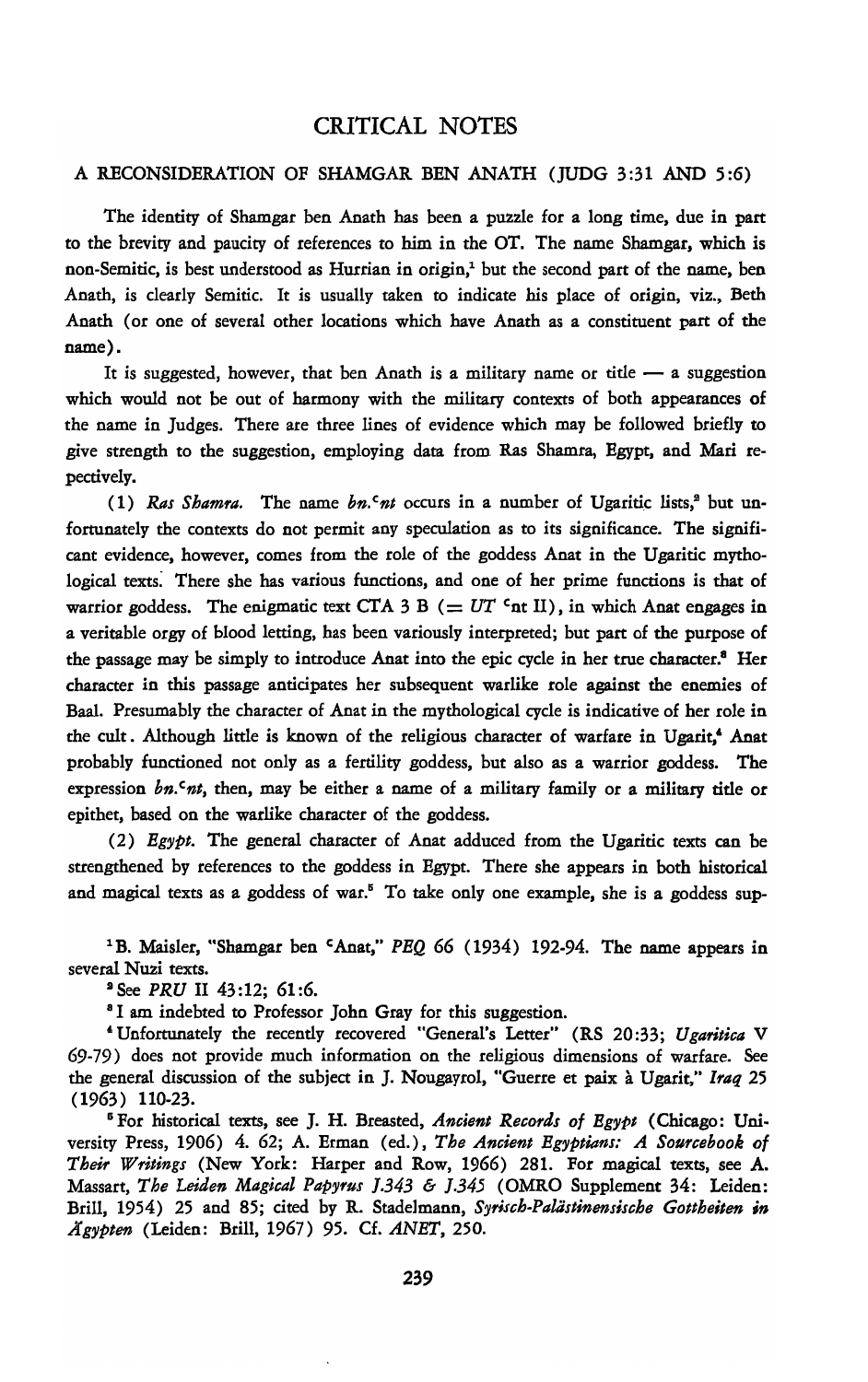## CRITICAL NOTES

## A RECONSIDERATION OF SHAMGAR BEN ANATH (JUDG 3 :31 AND 5 :6)

The identity of Shamgar ben Anath has been a puzzle for a long time, due in part to the brevity and paucity of references to him in the OT. The name Shamgar, which is non-Semitic, is best understood as Hurrian in origin,' but the second part of the name, ben Anath, is clearly Semitic. It is usually taken to indicate his place of origin, viz., Beth Anath (or one of several other locations which have Anath as a constituent part of the name).

It is suggested, however, that ben Anath is a military name or title  $-$  a suggestion which would not be out of harmony with the military contexts of both appearances of the name in Judges. There are three lines of evidence which may be followed briefly to give strength to the suggestion, employing data from Ras Shamra, Egypt, and Mari repectively.

(1) *Ras Shamra*. The name  $bn \cdot n$  occurs in a number of Ugaritic lists,<sup>2</sup> but unfortunately the contexts do not permit any speculation as to its significance. The significant evidence, however, comes from the role of the goddess Anat in the Ugaritic mythological texts: There she has various functions, and one of her prime functions is that of warrior goddess. The enigmatic text CTA 3 B ( $= UT$  <sup>c</sup>nt II), in which Anat engages in a veritable orgy of blood letting, has been variously interpreted; but part of the purpose of the passage may be simply to introduce Anat into the epic cycle in her true character.<sup>8</sup> Her character in this passage anticipates her subsequent warlike role against the enemies of Baal. Presumably the character of Anat in the mythological cycle is indicative of her role in the cult. Although little is known of the religious character of warfare in Ugarit,' Anat probably functioned not only as a fertility goddess, but also as a warrior goddess. The expression *bn. Cnt*, then, may be either a name of a military family or a military title or epithet, based on the warlike character of the goddess.

(2) *Eg'YPt.* The general character of Anat adduced from the Ugaritic texts can be strengthened by references to the goddess in Egypt. There she appears in both historical and magical texts as a goddess of war." To take only one example, she is a goddess sup-

'B. Maisler, "Shamgar ben cAnat," *PEQ* 66 (1934) 192-94. The name appears in several Nuzi texts.

• See *PRU* II 43:12; 61:6.

<sup>8</sup> I am indebted to Professor John Gray for this suggestion.

'Unfortunately the recently recovered "General's Letter" (RS 20:33; *Ugaritica* V 69-79) does not provide much information on the religious dimensions of warfare. See the general discussion of the subject in J. Nougayrol, "Guerre et paix a Ugarit," *Iraq 25*  (1963) 110-23.

"For historical texts, see J. H. Breasted, *Ancient Records of Eg'YPt* (Chicago: Uni· versity Press, 1906) 4. 62; A. Erman (ed.), *The Ancient Egyptians: A Sourcebook of Their Writings* (New York: Harper and Row, 1966) 281. For magical texts, see A. Massart, *The Leiden Magical Pap'Yrus* J.343 & J.345 (OMRO Supplement 34: Leiden: Brill, 1954) 25 and 85; cited by R. Stadelmann, *S'Yrisch-Paliistinensische Gottheiten* in *JIg'YPten* (Leiden: Brill, 1967) 95. Cf. *ANET, 250.*